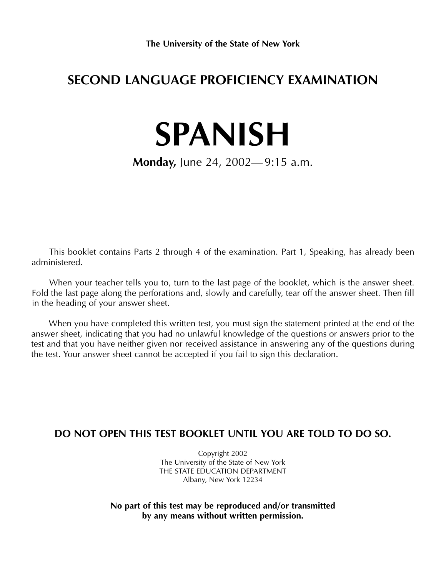# **SECOND LANGUAGE PROFICIENCY EXAMINATION**

# **SPANISH**

**Monday,** June 24, 2002— 9:15 a.m.

This booklet contains Parts 2 through 4 of the examination. Part 1, Speaking, has already been administered.

When your teacher tells you to, turn to the last page of the booklet, which is the answer sheet. Fold the last page along the perforations and, slowly and carefully, tear off the answer sheet. Then fill in the heading of your answer sheet.

When you have completed this written test, you must sign the statement printed at the end of the answer sheet, indicating that you had no unlawful knowledge of the questions or answers prior to the test and that you have neither given nor received assistance in answering any of the questions during the test. Your answer sheet cannot be accepted if you fail to sign this declaration.

#### **DO NOT OPEN THIS TEST BOOKLET UNTIL YOU ARE TOLD TO DO SO.**

Copyright 2002 The University of the State of New York THE STATE EDUCATION DEPARTMENT Albany, New York 12234

**No part of this test may be reproduced and/or transmitted by any means without written permission.**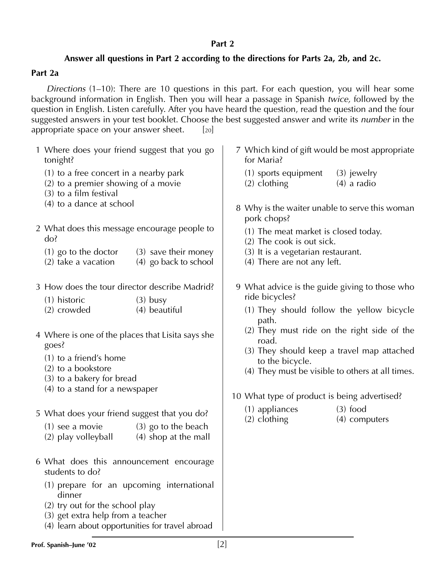#### **Part 2**

#### **Answer all questions in Part 2 according to the directions for Parts 2a, 2b, and 2c.**

#### **Part 2a**

*Directions* (1–10): There are 10 questions in this part. For each question, you will hear some background information in English. Then you will hear a passage in Spanish *twice,* followed by the question in English. Listen carefully. After you have heard the question, read the question and the four suggested answers in your test booklet. Choose the best suggested answer and write its *number* in the appropriate space on your answer sheet.  $[20]$ 

- 1 Where does your friend suggest that you go tonight?
	- (1) to a free concert in a nearby park
	- (2) to a premier showing of a movie
	- (3) to a film festival
	- (4) to a dance at school
- 2 What does this message encourage people to do?
	- (1) go to the doctor  $(3)$  save their money
	- (2) take a vacation  $(4)$  go back to school
- 3 How does the tour director describe Madrid?
	- (1) historic (3) busy
	- (2) crowded (4) beautiful
- 4 Where is one of the places that Lisita says she goes?
	- (1) to a friend's home
	- (2) to a bookstore
	- (3) to a bakery for bread
	- (4) to a stand for a newspaper
- 5 What does your friend suggest that you do?
	- (1) see a movie  $(3)$  go to the beach
	- (2) play volleyball  $(4)$  shop at the mall
- 6 What does this announcement encourage students to do?
	- (1) prepare for an upcoming international dinner
	- (2) try out for the school play
	- (3) get extra help from a teacher
	- (4) learn about opportunities for travel abroad
- 7 Which kind of gift would be most appropriate for Maria?
	- (1) sports equipment (3) jewelry
	- (2) clothing (4) a radio
- 8 Why is the waiter unable to serve this woman pork chops?
	- (1) The meat market is closed today.
	- (2) The cook is out sick.
	- (3) It is a vegetarian restaurant.
	- (4) There are not any left.
- 9 What advice is the guide giving to those who ride bicycles?
	- (1) They should follow the yellow bicycle path.
	- (2) They must ride on the right side of the road.
	- (3) They should keep a travel map attached to the bicycle.
	- (4) They must be visible to others at all times.
- 10 What type of product is being advertised?
	- (1) appliances (3) food
	- (2) clothing (4) computers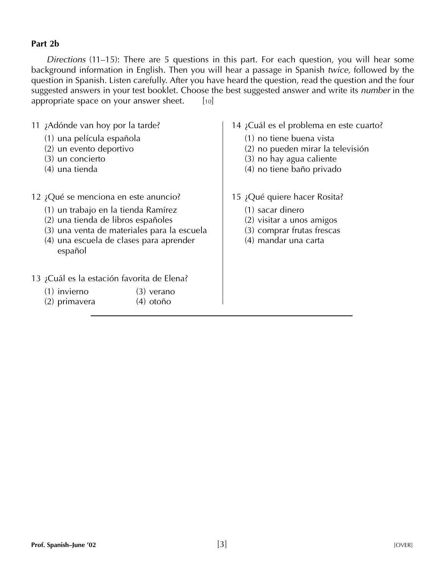#### **Part 2b**

*Directions* (11–15): There are 5 questions in this part. For each question, you will hear some background information in English. Then you will hear a passage in Spanish *twice,* followed by the question in Spanish. Listen carefully. After you have heard the question, read the question and the four suggested answers in your test booklet. Choose the best suggested answer and write its *number* in the appropriate space on your answer sheet.  $[10]$ 

- 11 ¿Adónde van hoy por la tarde?
	- (1) una película española
	- (2) un evento deportivo
	- (3) un concierto
	- (4) una tienda
- 12 ¿Qué se menciona en este anuncio?
	- (1) un trabajo en la tienda Ramírez
	- (2) una tienda de libros españoles
	- (3) una venta de materiales para la escuela
	- (4) una escuela de clases para aprender español
- 13 ¿Cuál es la estación favorita de Elena?
	- (1) invierno (3) verano
	- (2) primavera (4) otoño
- 14 ¿Cuál es el problema en este cuarto?
	- (1) no tiene buena vista
	- (2) no pueden mirar la televisión
	- (3) no hay agua caliente
	- (4) no tiene baño privado
- 15 ¿Qué quiere hacer Rosita?
	- (1) sacar dinero
	- (2) visitar a unos amigos
	- (3) comprar frutas frescas
	- (4) mandar una carta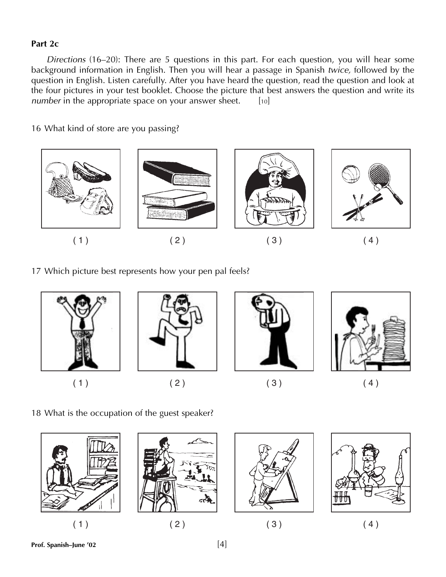#### **Part 2c**

*Directions* (16–20): There are 5 questions in this part. For each question, you will hear some background information in English. Then you will hear a passage in Spanish *twice,* followed by the question in English. Listen carefully. After you have heard the question, read the question and look at the four pictures in your test booklet. Choose the picture that best answers the question and write its *number* in the appropriate space on your answer sheet. [10]

16 What kind of store are you passing?



17 Which picture best represents how your pen pal feels?



18 What is the occupation of the guest speaker?









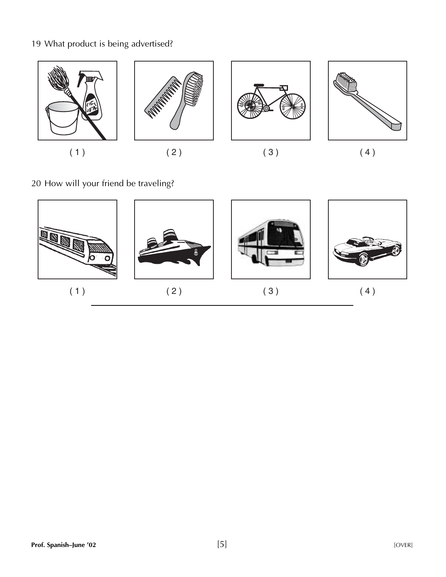## 19 What product is being advertised?



20 How will your friend be traveling?

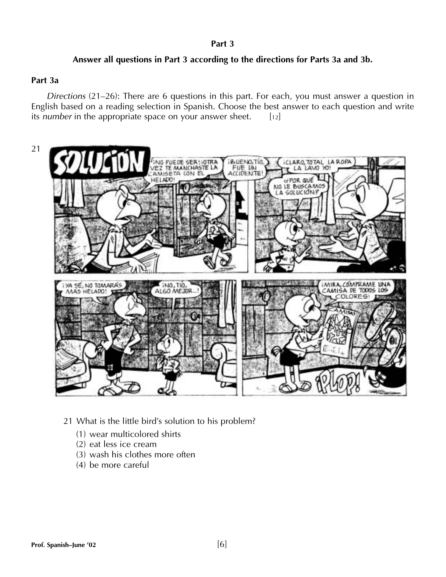#### **Part 3**

#### **Answer all questions in Part 3 according to the directions for Parts 3a and 3b.**

#### **Part 3a**

*Directions* (21–26): There are 6 questions in this part. For each, you must answer a question in English based on a reading selection in Spanish. Choose the best answer to each question and write its *number* in the appropriate space on your answer sheet. [12]



- 21 What is the little bird's solution to his problem?
	- (1) wear multicolored shirts
	- (2) eat less ice cream
	- (3) wash his clothes more often
	- (4) be more careful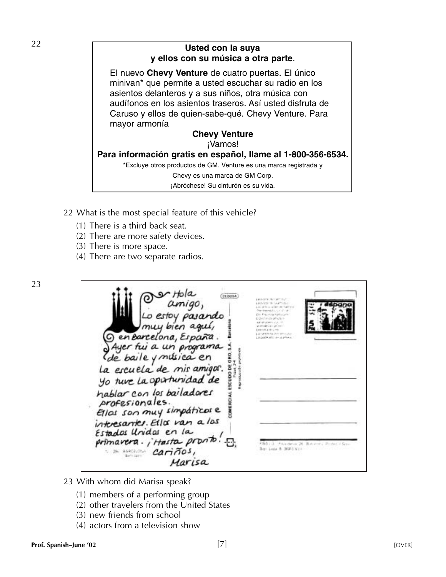## <sup>22</sup> **Usted con la suya y ellos con su música a otra parte**.

El nuevo **Chevy Venture** de cuatro puertas. El único minivan\* que permite a usted escuchar su radio en los asientos delanteros y a sus niños, otra música con audífonos en los asientos traseros. Así usted disfruta de Caruso y ellos de quien-sabe-qué. Chevy Venture. Para mayor armonía

#### **Chevy Venture** ¡Vamos! **Para información gratis en español, llame al 1-800-356-6534.** \*Excluye otros productos de GM. Venture es una marca registrada y Chevy es una marca de GM Corp. ¡Abróchese! Su cinturón es su vida.

- 22 What is the most special feature of this vehicle?
	- (1) There is a third back seat.
	- (2) There are more safety devices.
	- (3) There is more space.
	- (4) There are two separate radios.

 $(0.0014)$ estov  $\varrho$ as I bien agu G en Barcelona, España Ayer fui a un programa y música en La escuela de mis amigos. ESCUDO DE Yo ture La opertunidad de hablar con los bailadores profesionales. Ellas son muy simpáticas e interesantes. Ella van a las Estados Unidas en la primavera. ; Hasta pronto Box Lucia & MILLS KI cariños, Marisa

- 23 With whom did Marisa speak?
	- (1) members of a performing group
	- (2) other travelers from the United States
	- (3) new friends from school
	- (4) actors from a television show

23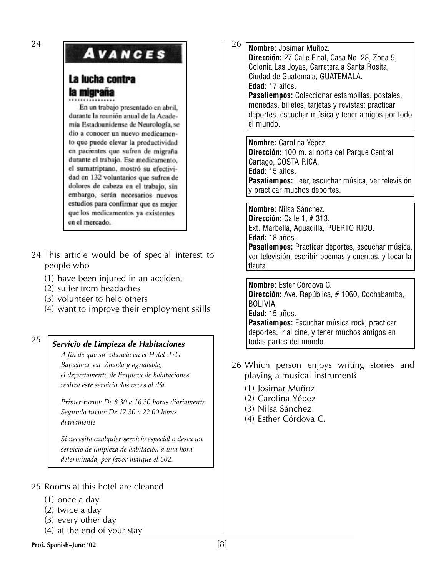# **AVANCES**

# La lucha contra la migraña

En un trabajo presentado en abril, durante la reunión anual de la Academia Estadounidense de Neurología, se dio a conocer un nuevo medicamento que puede elevar la productividad en pacientes que sufren de migraña durante el trabajo. Ese medicamento, el sumatriptano, mostró su efectividad en 132 voluntarios que sufren de dolores de cabeza en el trabajo, sin embargo, serán necesarios nuevos estudios para confirmar que es mejor que los medicamentos ya existentes en el mercado.

- 24 This article would be of special interest to people who
	- (1) have been injured in an accident
	- (2) suffer from headaches
	- (3) volunteer to help others
	- (4) want to improve their employment skills

# <sup>25</sup> *Servicio de Limpieza de Habitaciones*

*A fin de que su estancia en el Hotel Arts Barcelona sea cómoda y agradable, el departamento de limpieza de habitaciones realiza este servicio dos veces al día.*

*Primer turno: De 8.30 a 16.30 horas diariamente Segundo turno: De 17.30 a 22.00 horas diariamente*

*Si necesita cualquier servicio especial o desea un servicio de limpieza de habitación a una hora determinada, por favor marque el 602.*

- 25 Rooms at this hotel are cleaned
	- (1) once a day
	- (2) twice a day
	- (3) every other day
	- (4) at the end of your stay

26 **Nombre:** Josimar Muñoz. **Dirección:** 27 Calle Final, Casa No. 28, Zona 5, Colonia Las Joyas, Carretera a Santa Rosita, Ciudad de Guatemala, GUATEMALA. **Edad:** 17 años. **Pasatiempos:** Coleccionar estampillas, postales, monedas, billetes, tarjetas y revistas; practicar deportes, escuchar música y tener amigos por todo el mundo.

**Nombre:** Carolina Yépez. **Dirección:** 100 m. al norte del Parque Central, Cartago, COSTA RICA. **Edad:** 15 años. **Pasatiempos:** Leer, escuchar música, ver televisión y practicar muchos deportes.

**Nombre:** Nilsa Sánchez. **Dirección:** Calle 1, # 313, Ext. Marbella, Aguadilla, PUERTO RICO. **Edad:** 18 años. **Pasatiempos:** Practicar deportes, escuchar música, ver televisión, escribir poemas y cuentos, y tocar la flauta.

**Nombre:** Ester Córdova C. **Dirección:** Ave. República, # 1060, Cochabamba, BOLIVIA. **Edad:** 15 años. **Pasatiempos:** Escuchar música rock, practicar deportes, ir al cine, y tener muchos amigos en todas partes del mundo.

- 26 Which person enjoys writing stories and playing a musical instrument?
	- (1) Josimar Muñoz
	- (2) Carolina Yépez
	- (3) Nilsa Sánchez
	- (4) Esther Córdova C.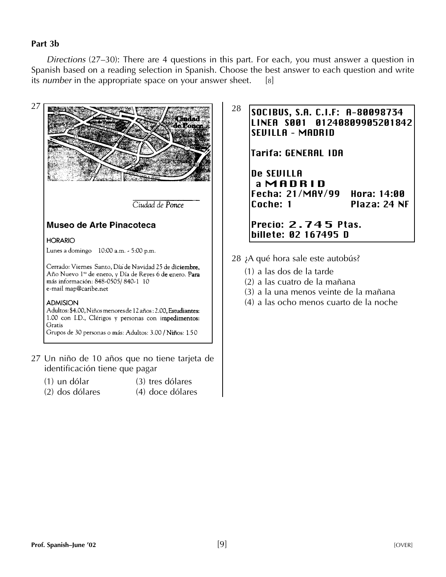#### **Part 3b**

*Directions* (27–30): There are 4 questions in this part. For each, you must answer a question in Spanish based on a reading selection in Spanish. Choose the best answer to each question and write its *number* in the appropriate space on your answer sheet. [8]



- 27 Un niño de 10 años que no tiene tarjeta de identificación tiene que pagar
	- (1) un dólar (3) tres dólares
		-
	- (2) dos dólares (4) doce dólares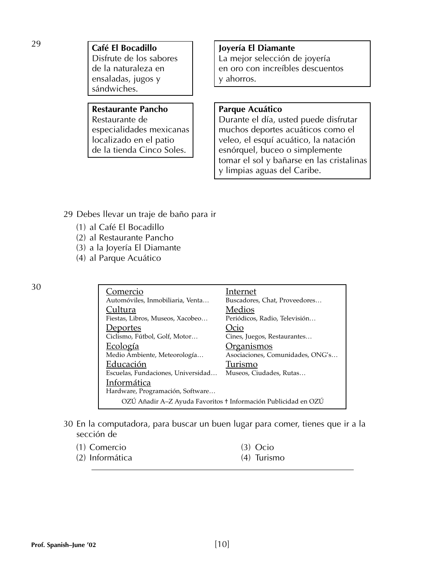29 **Café El Bocadillo**<br>Disfrute de los sabores La mejor selección d ensaladas, jugos y  $\vert$   $\vert$  y ahorros. sándwiches.

# Restaurante Pancho <sup>|</sup> Parque Acuático

La mejor selección de joyería de la naturaleza en en en en oro con increíbles descuentos

Restaurante de  $\vert$  Durante el día, usted puede disfrutar especialidades mexicanas | | muchos deportes acuáticos como el localizado en el patio<br>de la tienda Cinco Soles. el esportante esportante el esportante el esportante el esportante el esportante el<br>esportante el esportante el esportante el esportante el esportante el esportante el espor esnórquel, buceo o simplemente tomar el sol y bañarse en las cristalinas y limpias aguas del Caribe.

- 29 Debes llevar un traje de baño para ir
	- (1) al Café El Bocadillo
	- (2) al Restaurante Pancho
	- (3) a la Joyería El Diamante
	- (4) al Parque Acuático

| 30 | <u>Comercio</u>                    | Internet                                                       |
|----|------------------------------------|----------------------------------------------------------------|
|    | Automóviles, Inmobiliaria, Venta   | Buscadores, Chat, Proveedores                                  |
|    | Cultura                            | Medios                                                         |
|    | Fiestas, Libros, Museos, Xacobeo   | Periódicos, Radio, Televisión                                  |
|    | <u>Deportes</u>                    | Jcio                                                           |
|    | Ciclismo, Fútbol, Golf, Motor      | Cines, Juegos, Restaurantes                                    |
|    | <u>Ecología</u>                    | <u> Organismos</u>                                             |
|    | Medio Ambiente, Meteorología       | Asociaciones, Comunidades, ONG's                               |
|    | Educación                          | Turismo                                                        |
|    | Escuelas, Fundaciones, Universidad | Museos, Ciudades, Rutas                                        |
|    | Informática                        |                                                                |
|    | Hardware, Programación, Software   |                                                                |
|    |                                    | OZÚ Añadir A-Z Ayuda Favoritos + Información Publicidad en OZÚ |
|    |                                    |                                                                |

30 En la computadora, para buscar un buen lugar para comer, tienes que ir a la sección de

| (1) Comercio    | $(3)$ Ocio    |
|-----------------|---------------|
| (2) Informática | $(4)$ Turismo |

**Prof. Spanish–June '02** [10]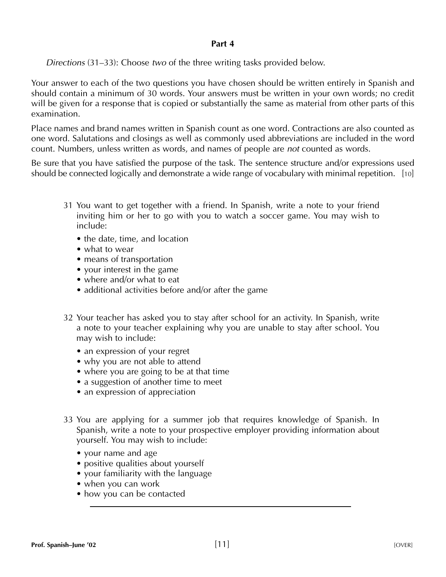#### **Part 4**

*Directions* (31–33): Choose *two* of the three writing tasks provided below.

Your answer to each of the two questions you have chosen should be written entirely in Spanish and should contain a minimum of 30 words. Your answers must be written in your own words; no credit will be given for a response that is copied or substantially the same as material from other parts of this examination.

Place names and brand names written in Spanish count as one word. Contractions are also counted as one word. Salutations and closings as well as commonly used abbreviations are included in the word count. Numbers, unless written as words, and names of people are *not* counted as words.

Be sure that you have satisfied the purpose of the task. The sentence structure and/or expressions used should be connected logically and demonstrate a wide range of vocabulary with minimal repetition. [10]

- 31 You want to get together with a friend. In Spanish, write a note to your friend inviting him or her to go with you to watch a soccer game. You may wish to include:
	- the date, time, and location
	- what to wear
	- means of transportation
	- your interest in the game
	- where and/or what to eat
	- additional activities before and/or after the game
- 32 Your teacher has asked you to stay after school for an activity. In Spanish, write a note to your teacher explaining why you are unable to stay after school. You may wish to include:
	- an expression of your regret
	- why you are not able to attend
	- where you are going to be at that time
	- a suggestion of another time to meet
	- an expression of appreciation
- 33 You are applying for a summer job that requires knowledge of Spanish. In Spanish, write a note to your prospective employer providing information about yourself. You may wish to include:
	- your name and age
	- positive qualities about yourself
	- your familiarity with the language
	- when you can work
	- how you can be contacted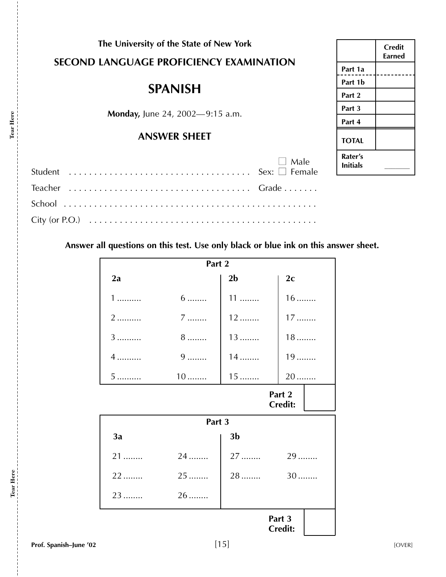# **The University of the State of New York SECOND LANGUAGE PROFICIENCY EXAMINATION**

# **SPANISH**

**Monday,** June 24, 2002—9:15 a.m.

### **ANSWER SHEET**

| $\Box$ Male |
|-------------|
|             |
|             |
|             |

|  | Answer all questions on this test. Use only black or blue ink on this answer sheet. |
|--|-------------------------------------------------------------------------------------|
|--|-------------------------------------------------------------------------------------|

| Part 2                   |                 |                |                          |  |
|--------------------------|-----------------|----------------|--------------------------|--|
| 2a                       |                 | 2 <sub>b</sub> | 2c                       |  |
| $1$                      | $6 \dots$       | $11$           | $16$                     |  |
| 2                        | $7$             | $12$           | $17$                     |  |
| 3                        | $8 \dots \dots$ | $13$           | $18$                     |  |
| $4$                      | $9$             | $14$           | $19$                     |  |
| 5                        | $10$            | $15$           | 20                       |  |
| Part 2<br><b>Credit:</b> |                 |                |                          |  |
|                          | Part 3          |                |                          |  |
| 3a                       |                 | 3 <sub>b</sub> |                          |  |
| $21$                     | 24              | 27             | 29                       |  |
| $22$                     | $25$            | 28             | $30$                     |  |
| 23                       | 26              |                |                          |  |
|                          |                 |                | Part 3<br><b>Credit:</b> |  |

![](_page_14_Picture_7.jpeg)

**Tear Here**

Tear Here

**Tear Here**

Tear Here